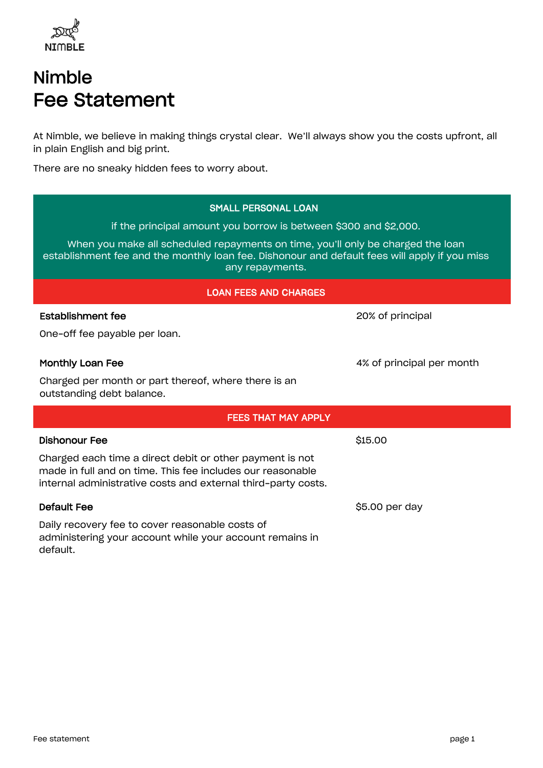

# Nimble Fee Statement

At Nimble, we believe in making things crystal clear. We'll always show you the costs upfront, all in plain English and big print.

There are no sneaky hidden fees to worry about.

| <b>SMALL PERSONAL LOAN</b>                                                                                                                                                                          |                           |  |  |
|-----------------------------------------------------------------------------------------------------------------------------------------------------------------------------------------------------|---------------------------|--|--|
| if the principal amount you borrow is between \$300 and \$2,000.                                                                                                                                    |                           |  |  |
| When you make all scheduled repayments on time, you'll only be charged the loan<br>establishment fee and the monthly loan fee. Dishonour and default fees will apply if you miss<br>any repayments. |                           |  |  |
| <b>LOAN FEES AND CHARGES</b>                                                                                                                                                                        |                           |  |  |
| <b>Establishment fee</b>                                                                                                                                                                            | 20% of principal          |  |  |
| One-off fee payable per loan.                                                                                                                                                                       |                           |  |  |
| Monthly Loan Fee                                                                                                                                                                                    | 4% of principal per month |  |  |
| Charged per month or part thereof, where there is an<br>outstanding debt balance.                                                                                                                   |                           |  |  |
| <b>FEES THAT MAY APPLY</b>                                                                                                                                                                          |                           |  |  |
| <b>Dishonour Fee</b>                                                                                                                                                                                | \$15.00                   |  |  |
| Charged each time a direct debit or other payment is not<br>made in full and on time. This fee includes our reasonable<br>internal administrative costs and external third-party costs.             |                           |  |  |
| <b>Default Fee</b>                                                                                                                                                                                  | \$5.00 per day            |  |  |
| Daily recovery fee to cover reasonable costs of<br>administering your account while your account remains in<br>default.                                                                             |                           |  |  |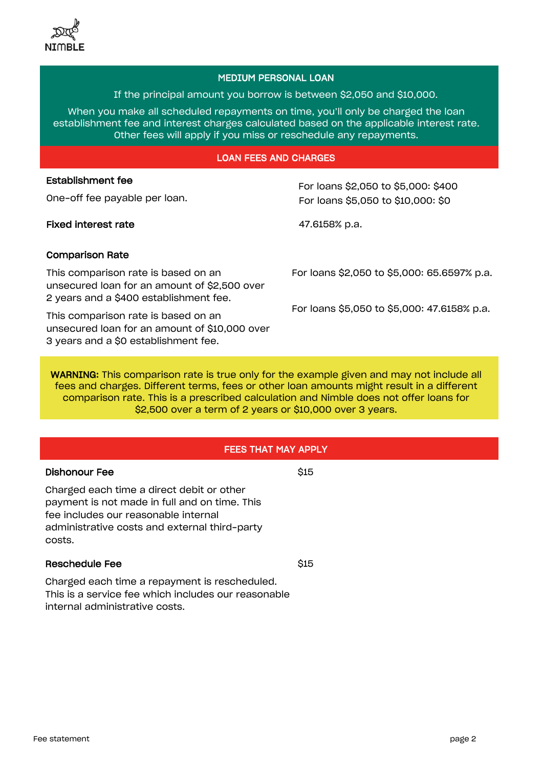## MEDIUM PERSONAL LOAN

If the principal amount you borrow is between \$2,050 and \$10,000.

When you make all scheduled repayments on time, you'll only be charged the loan establishment fee and interest charges calculated based on the applicable interest rate. Other fees will apply if you miss or reschedule any repayments.

#### LOAN FEES AND CHARGES

# Establishment fee

One-off fee payable per loan.

Fixed interest rate 47.6158% p.a.

For loans \$2,050 to \$5,000: \$400 For loans \$5,050 to \$10,000: \$0

# Comparison Rate

This comparison rate is based on an unsecured loan for an amount of \$2,500 over 2 years and a \$400 establishment fee.

This comparison rate is based on an unsecured loan for an amount of \$10,000 over 3 years and a \$0 establishment fee.

For loans \$2,050 to \$5,000: 65.6597% p.a.

For loans \$5,050 to \$5,000: 47.6158% p.a.

WARNING: This comparison rate is true only for the example given and may not include all fees and charges. Different terms, fees or other loan amounts might result in a different comparison rate. This is a prescribed calculation and Nimble does not offer loans for \$2,500 over a term of 2 years or \$10,000 over 3 years.

# FEES THAT MAY APPLY

### Dishonour Fee

Charged each time a direct debit or other payment is not made in full and on time. This fee includes our reasonable internal administrative costs and external third-party costs.

#### Reschedule Fee

Charged each time a repayment is rescheduled. This is a service fee which includes our reasonable internal administrative costs.

\$15

\$15

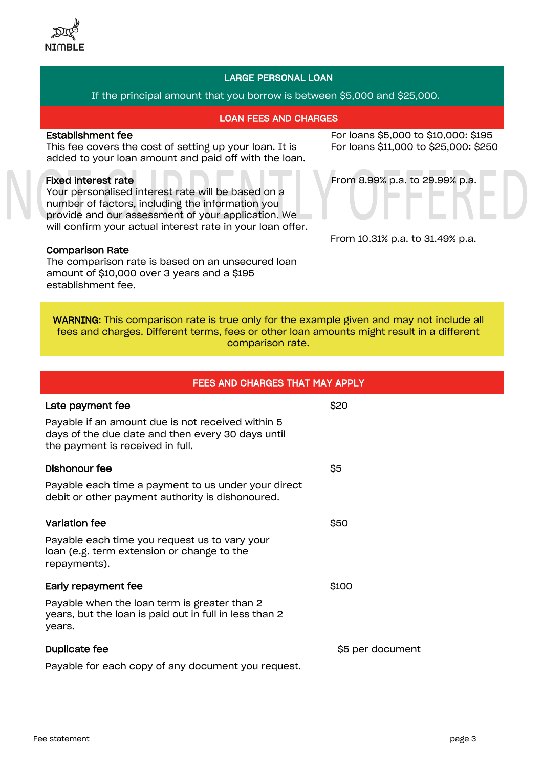

## LARGE PERSONAL LOAN

If the principal amount that you borrow is between \$5,000 and \$25,000.

#### LOAN FEES AND CHARGES

## Establishment fee

This fee covers the cost of setting up your loan. It is added to your loan amount and paid off with the loan.

## Fixed interest rate

Your personalised interest rate will be based on a number of factors, including the information you provide and our assessment of your application. We will confirm your actual interest rate in your loan offer.

#### Comparison Rate

The comparison rate is based on an unsecured loan amount of \$10,000 over 3 years and a \$195 establishment fee.

For loans \$5,000 to \$10,000: \$195 For loans \$11,000 to \$25,000: \$250



From 10.31% p.a. to 31.49% p.a.

WARNING: This comparison rate is true only for the example given and may not include all fees and charges. Different terms, fees or other loan amounts might result in a different comparison rate.

| <b>FEES AND CHARGES THAT MAY APPLY</b>                                                                                                     |                  |  |
|--------------------------------------------------------------------------------------------------------------------------------------------|------------------|--|
| Late payment fee                                                                                                                           | \$20             |  |
| Payable if an amount due is not received within 5<br>days of the due date and then every 30 days until<br>the payment is received in full. |                  |  |
| Dishonour fee                                                                                                                              | \$5              |  |
| Payable each time a payment to us under your direct<br>debit or other payment authority is dishonoured.                                    |                  |  |
| Variation fee                                                                                                                              | \$50             |  |
| Payable each time you request us to vary your<br>loan (e.g. term extension or change to the<br>repayments).                                |                  |  |
| Early repayment fee                                                                                                                        | \$100            |  |
| Payable when the loan term is greater than 2<br>years, but the loan is paid out in full in less than 2<br>years.                           |                  |  |
| Duplicate fee                                                                                                                              | \$5 per document |  |
| Payable for each copy of any document you request.                                                                                         |                  |  |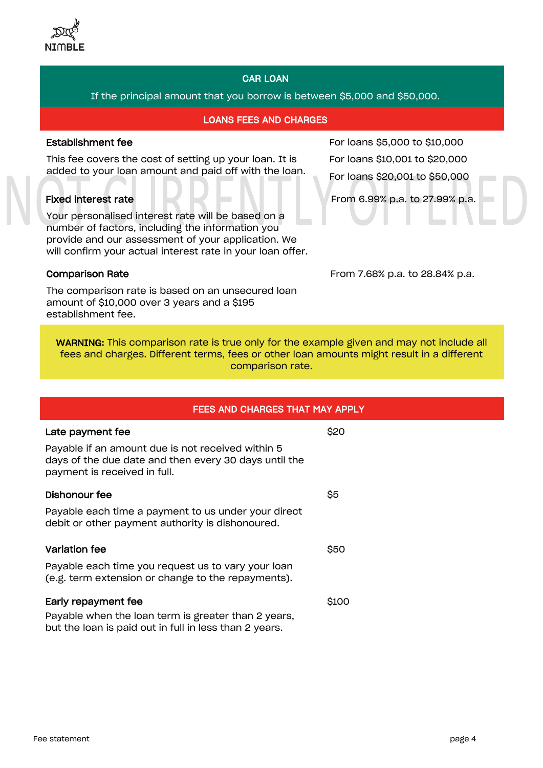

# CAR LOAN

## If the principal amount that you borrow is between \$5,000 and \$50,000.

#### LOANS FEES AND CHARGES

#### Establishment fee

This fee covers the cost of setting up your loan. It is added to your loan amount and paid off with the loan.

## Fixed interest rate

Your personalised interest rate will be based on a number of factors, including the information you provide and our assessment of your application. We will confirm your actual interest rate in your loan offer.

Comparison Rate

The comparison rate is based on an unsecured loan amount of \$10,000 over 3 years and a \$195 establishment fee.

For loans \$5,000 to \$10,000 For loans \$10,001 to \$20,000 For loans \$20,001 to \$50,000

From 6.99% p.a. to 27.99% p.a.

From 7.68% p.a. to 28.84% p.a.

WARNING: This comparison rate is true only for the example given and may not include all fees and charges. Different terms, fees or other loan amounts might result in a different comparison rate.

| FEES AND CHARGES THAT MAY APPLY                                                                                                            |       |  |
|--------------------------------------------------------------------------------------------------------------------------------------------|-------|--|
| Late payment fee                                                                                                                           | \$20  |  |
| Payable if an amount due is not received within 5<br>days of the due date and then every 30 days until the<br>payment is received in full. |       |  |
| Dishonour fee                                                                                                                              | \$5   |  |
| Payable each time a payment to us under your direct<br>debit or other payment authority is dishonoured.                                    |       |  |
| <b>Variation fee</b>                                                                                                                       | \$50  |  |
| Payable each time you request us to vary your loan<br>(e.g. term extension or change to the repayments).                                   |       |  |
| Early repayment fee                                                                                                                        | \$100 |  |
| Payable when the loan term is greater than 2 years,<br>but the loan is paid out in full in less than 2 years.                              |       |  |